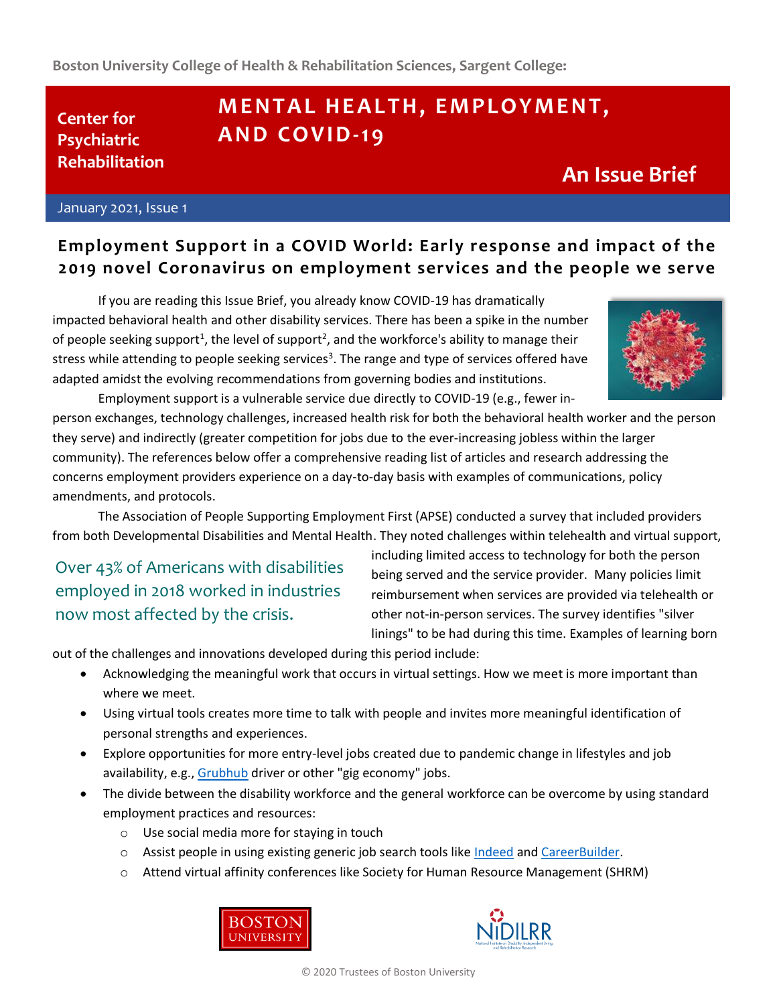# **MENTAL HEALTH, EMPLOYMENT, A N D CO V I D-1 9**

## **An Issue Brief**

January 2021, Issue 1

**Center for Psychiatric Rehabilitation**

### **Employment Support in a COVID World: Early response and impact of the 2019 novel Coronavirus on employment services and the people we serve**

If you are reading this Issue Brief, you already know COVID-19 has dramatically impacted behavioral health and other disability services. There has been a spike in the number of people seeking support<sup>1</sup>, the level of support<sup>2</sup>, and the workforce's ability to manage their stress while attending to people seeking services<sup>3</sup>. The range and type of services offered have adapted amidst the evolving recommendations from governing bodies and institutions.



Employment support is a vulnerable service due directly to COVID-19 (e.g., fewer inperson exchanges, technology challenges, increased health risk for both the behavioral health worker and the person they serve) and indirectly (greater competition for jobs due to the ever-increasing jobless within the larger community). The references below offer a comprehensive reading list of articles and research addressing the concerns employment providers experience on a day-to-day basis with examples of communications, policy amendments, and protocols.

The Association of People Supporting Employment First (APSE) conducted a survey that included providers from both Developmental Disabilities and Mental Health. They noted challenges within telehealth and virtual support,

Over 43% of Americans with disabilities employed in 2018 worked in industries now most affected by the crisis.

including limited access to technology for both the person being served and the service provider. Many policies limit reimbursement when services are provided via telehealth or other not-in-person services. The survey identifies "silver linings" to be had during this time. Examples of learning born

out of the challenges and innovations developed during this period include:

- Acknowledging the meaningful work that occurs in virtual settings. How we meet is more important than where we meet.
- Using virtual tools creates more time to talk with people and invites more meaningful identification of personal strengths and experiences.
- Explore opportunities for more entry-level jobs created due to pandemic change in lifestyles and job availability, e.g., [Grubhub](https://careers.grubhub.com/) driver or other "gig economy" jobs.
- The divide between the disability workforce and the general workforce can be overcome by using standard employment practices and resources:
	- o Use social media more for staying in touch
	- o Assist people in using existing generic job search tools like [Indeed](https://www.indeed.com/) and [CareerBuilder.](https://www.careerbuilder.com/)
	- o Attend virtual affinity conferences like Society for Human Resource Management (SHRM)





© 2020 Trustees of Boston University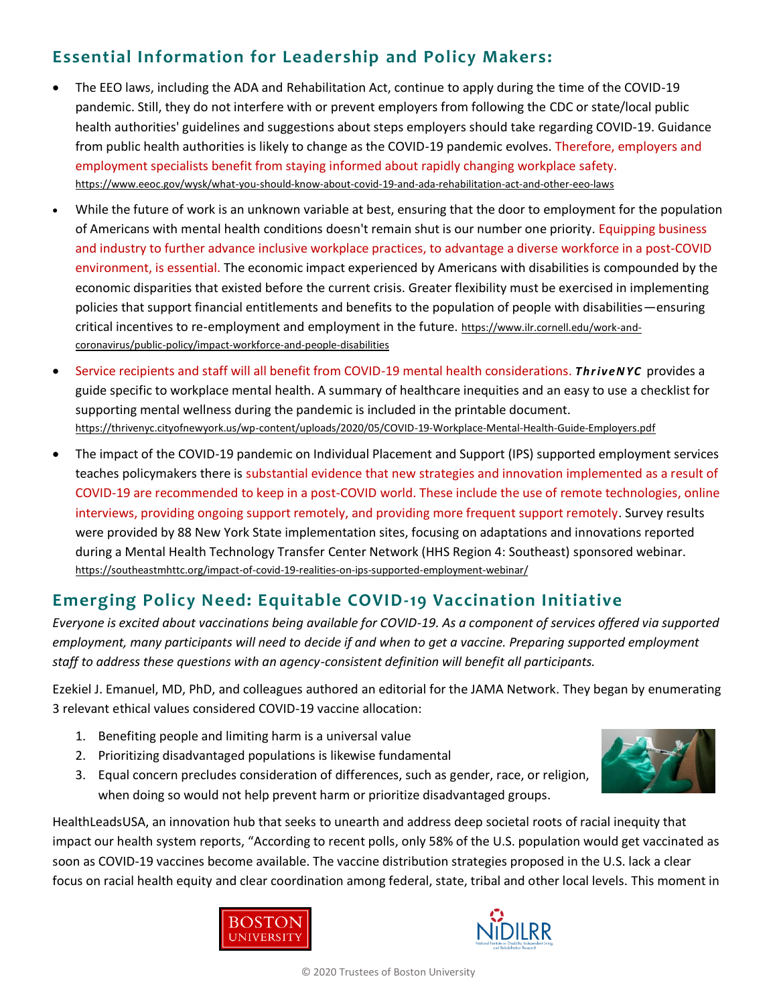### **Essential Information for Leadership and Policy Makers:**

- The EEO laws, including the ADA and Rehabilitation Act, continue to apply during the time of the COVID-19 pandemic. Still, they do not interfere with or prevent employers from following the CDC or state/local public health authorities' guidelines and suggestions about steps employers should take regarding COVID-19. Guidance from public health authorities is likely to change as the COVID-19 pandemic evolves. Therefore, employers and employment specialists benefit from staying informed about rapidly changing workplace safety. <https://www.eeoc.gov/wysk/what-you-should-know-about-covid-19-and-ada-rehabilitation-act-and-other-eeo-laws>
- While the future of work is an unknown variable at best, ensuring that the door to employment for the population of Americans with mental health conditions doesn't remain shut is our number one priority. Equipping business and industry to further advance inclusive workplace practices, to advantage a diverse workforce in a post-COVID environment, is essential. The economic impact experienced by Americans with disabilities is compounded by the economic disparities that existed before the current crisis. Greater flexibility must be exercised in implementing policies that support financial entitlements and benefits to the population of people with disabilities—ensuring critical incentives to re-employment and employment in the future. https://www.ilr.cornell.edu/work-andcoronavirus/public-policy/impact-workforce-and-people-disabilities
- Service recipients and staff will all benefit from COVID-19 mental health considerations. *ThriveNYC* provides a guide specific to workplace mental health. A summary of healthcare inequities and an easy to use a checklist for supporting mental wellness during the pandemic is included in the printable document. <https://thrivenyc.cityofnewyork.us/wp-content/uploads/2020/05/COVID-19-Workplace-Mental-Health-Guide-Employers.pdf>
- The impact of the COVID-19 pandemic on Individual Placement and Support (IPS) supported employment services teaches policymakers there is substantial evidence that new strategies and innovation implemented as a result of COVID-19 are recommended to keep in a post-COVID world. These include the use of remote technologies, online interviews, providing ongoing support remotely, and providing more frequent support remotely. Survey results were provided by 88 New York State implementation sites, focusing on adaptations and innovations reported during a Mental Health Technology Transfer Center Network (HHS Region 4: Southeast) sponsored webinar. <https://southeastmhttc.org/impact-of-covid-19-realities-on-ips-supported-employment-webinar/>

### **Emerging Policy Need: Equitable COVID-19 Vaccination Initiative**

*Everyone is excited about vaccinations being available for COVID-19. As a component of services offered via supported employment, many participants will need to decide if and when to get a vaccine. Preparing supported employment staff to address these questions with an agency-consistent definition will benefit all participants.* 

Ezekiel J. Emanuel, MD, PhD, and colleagues authored an editorial for the JAMA Network. They began by enumerating 3 relevant ethical values considered COVID-19 vaccine allocation:

- 1. Benefiting people and limiting harm is a universal value
- 2. Prioritizing disadvantaged populations is likewise fundamental
- 3. Equal concern precludes consideration of differences, such as gender, race, or religion, when doing so would not help prevent harm or prioritize disadvantaged groups.

HealthLeadsUSA, an innovation hub that seeks to unearth and address deep societal roots of racial inequity that impact our health system reports, "According to recent polls, only 58% of the U.S. population would get vaccinated as soon as COVID-19 vaccines become available. The vaccine distribution strategies proposed in the U.S. lack a clear focus on racial health equity and clear coordination among federal, state, tribal and other local levels. This moment in